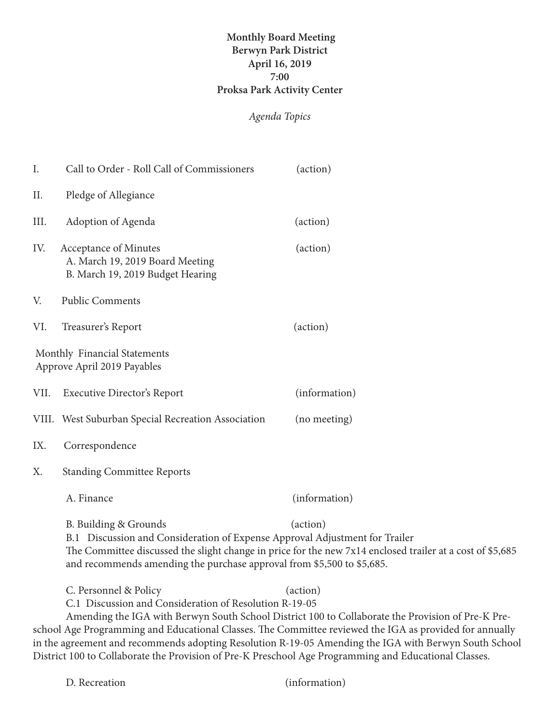## **Monthly Board Meeting Berwyn Park District April 16, 2019 7:00 Proksa Park Activity Center**

## *Agenda Topics*

| I.   | Call to Order - Roll Call of Commissioners                                                                                                                                                                                                                                                              | (action)                                                                                                      |
|------|---------------------------------------------------------------------------------------------------------------------------------------------------------------------------------------------------------------------------------------------------------------------------------------------------------|---------------------------------------------------------------------------------------------------------------|
| II.  | Pledge of Allegiance                                                                                                                                                                                                                                                                                    |                                                                                                               |
| III. | Adoption of Agenda                                                                                                                                                                                                                                                                                      | (action)                                                                                                      |
| IV.  | Acceptance of Minutes<br>A. March 19, 2019 Board Meeting<br>B. March 19, 2019 Budget Hearing                                                                                                                                                                                                            | (action)                                                                                                      |
| V.   | <b>Public Comments</b>                                                                                                                                                                                                                                                                                  |                                                                                                               |
| VI.  | Treasurer's Report                                                                                                                                                                                                                                                                                      | (action)                                                                                                      |
|      | Monthly Financial Statements<br>Approve April 2019 Payables                                                                                                                                                                                                                                             |                                                                                                               |
|      | VII. Executive Director's Report                                                                                                                                                                                                                                                                        | (information)                                                                                                 |
|      | VIII. West Suburban Special Recreation Association                                                                                                                                                                                                                                                      | (no meeting)                                                                                                  |
| IX.  | Correspondence                                                                                                                                                                                                                                                                                          |                                                                                                               |
| X.   | <b>Standing Committee Reports</b>                                                                                                                                                                                                                                                                       |                                                                                                               |
|      | A. Finance                                                                                                                                                                                                                                                                                              | (information)                                                                                                 |
|      | (action)<br>B. Building & Grounds<br>B.1 Discussion and Consideration of Expense Approval Adjustment for Trailer<br>The Committee discussed the slight change in price for the new 7x14 enclosed trailer at a cost of \$5,685<br>and recommends amending the purchase approval from \$5,500 to \$5,685. |                                                                                                               |
|      | C. Personnel & Policy<br>C.1 Discussion and Consideration of Resolution R-19-05                                                                                                                                                                                                                         | (action)<br>Amending the IGA with Berwyn South School District 100 to Collaborate the Provision of Pre-K Pre- |

Amending the IGA with Berwyn South School District 100 to Collaborate the Provision of Pre-K Preschool Age Programming and Educational Classes. The Committee reviewed the IGA as provided for annually in the agreement and recommends adopting Resolution R-19-05 Amending the IGA with Berwyn South School District 100 to Collaborate the Provision of Pre-K Preschool Age Programming and Educational Classes.

(information)